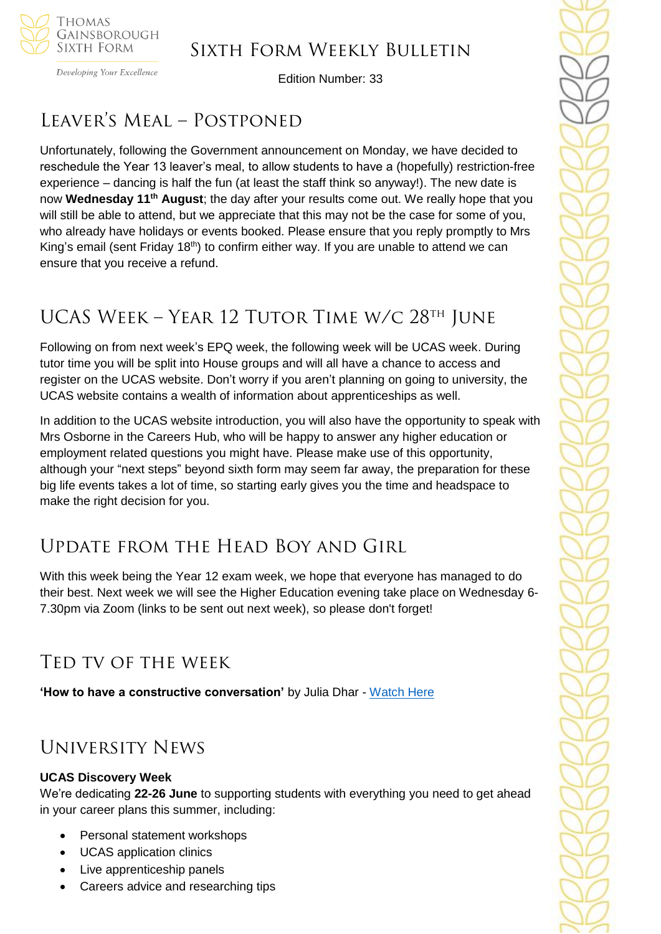

Developing Your Excellence

Edition Number: 33

# Leaver's Meal – Postponed

Unfortunately, following the Government announcement on Monday, we have decided to reschedule the Year 13 leaver's meal, to allow students to have a (hopefully) restriction-free experience – dancing is half the fun (at least the staff think so anyway!). The new date is now **Wednesday 11th August**; the day after your results come out. We really hope that you will still be able to attend, but we appreciate that this may not be the case for some of you, who already have holidays or events booked. Please ensure that you reply promptly to Mrs King's email (sent Friday  $18<sup>th</sup>$ ) to confirm either way. If you are unable to attend we can ensure that you receive a refund.

# UCAS WEEK – YEAR 12 TUTOR TIME W/C 28<sup>th</sup> JUNE

Following on from next week's EPQ week, the following week will be UCAS week. During tutor time you will be split into House groups and will all have a chance to access and register on the UCAS website. Don't worry if you aren't planning on going to university, the UCAS website contains a wealth of information about apprenticeships as well.

In addition to the UCAS website introduction, you will also have the opportunity to speak with Mrs Osborne in the Careers Hub, who will be happy to answer any higher education or employment related questions you might have. Please make use of this opportunity, although your "next steps" beyond sixth form may seem far away, the preparation for these big life events takes a lot of time, so starting early gives you the time and headspace to make the right decision for you.

## Update from the Head Boy and Girl

With this week being the Year 12 exam week, we hope that everyone has managed to do their best. Next week we will see the Higher Education evening take place on Wednesday 6- 7.30pm via Zoom (links to be sent out next week), so please don't forget!

## Ted tv of the week

**'How to have a constructive conversation'** by Julia Dhar - [Watch Here](https://www.ted.com/talks/julia_dhar_how_to_have_constructive_conversations?utm_source=recommends-quality-conversations&utm_medium=email&utm_campaign=explore&utm_term=watchNow)

## University News

### **UCAS Discovery Week**

We're dedicating **22-26 June** to supporting students with everything you need to get ahead in your career plans this summer, including:

- Personal statement workshops
- UCAS application clinics
- Live apprenticeship panels
- Careers advice and researching tips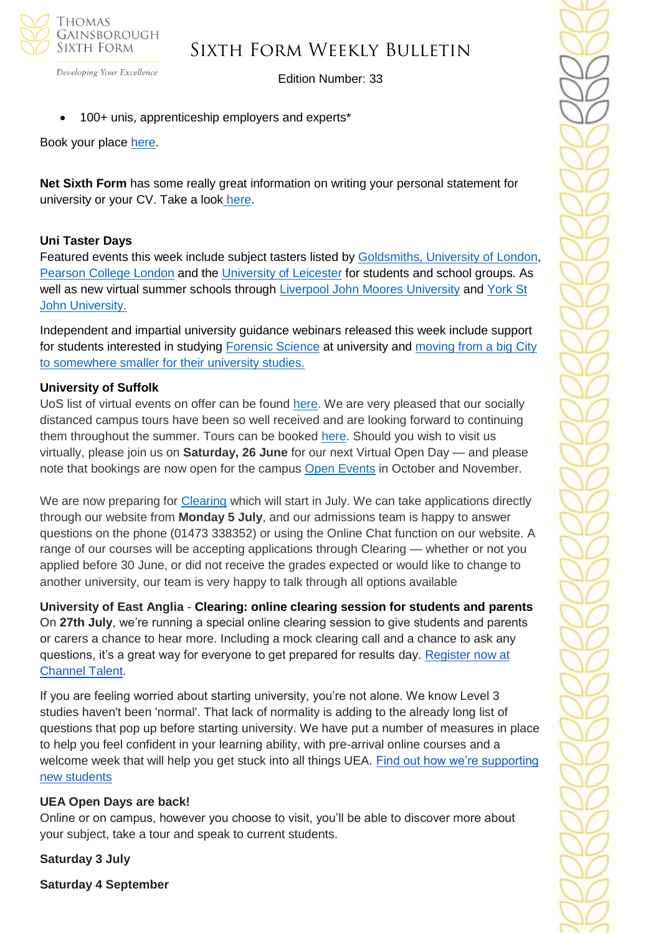

Edition Number: 33

• 100+ unis, apprenticeship employers and experts\*

Book your place [here.](https://www.ucas.com/registration?reference=event-393976)

Developing Your Excellence

**Net Sixth Form** has some really great information on writing your personal statement for university or your CV. Take a look [here.](https://www.netsixthform.co.uk/resources/browse?category%5b%5d=22&free=&utm_source=Head+of+Sixth+Free+Newsletter&utm_campaign=b5be4a61c5-16+June+2021&utm_medium=email&utm_term=0_36c44588b4-b5be4a61c5-115737769)

### **Uni Taster Days**

Featured events this week include subject tasters listed by [Goldsmiths, University of London,](https://www.unitasterdays.com/search.aspx?IID=96&Sort=D) [Pearson College London](https://www.unitasterdays.com/search.aspx?IID=1697&Sort=D) and the [University of Leicester](https://www.unitasterdays.com/search.aspx?IID=322&Sort=D) for students and school groups. As well as new virtual summer schools through [Liverpool John Moores University](https://www.unitasterdays.com/search.aspx?IID=147&TID=9&Sort=D) and [York St](https://www.unitasterdays.com/events/event/65665/discover-ysj-year-12-summer-school)  [John University.](https://www.unitasterdays.com/events/event/65665/discover-ysj-year-12-summer-school)

Independent and impartial university guidance webinars released this week include support for students interested in studying [Forensic Science](https://www.unitasterdays.com/ondemand/webinar/125/forensic-science) at university and [moving from a big City](https://www.unitasterdays.com/ondemand/webinar/124/moving-somewhere-smaller-for-uni)  [to somewhere smaller for their university studies.](https://www.unitasterdays.com/ondemand/webinar/124/moving-somewhere-smaller-for-uni)

### **University of Suffolk**

UoS list of virtual events on offer can be found [here.](https://uos.us5.list-manage.com/track/click?u=f75f57cde7f52126d1696bf40&id=54d1b2efa9&e=735bc4c17b) We are very pleased that our socially distanced campus tours have been so well received and are looking forward to continuing them throughout the summer. Tours can be booked [here.](https://uos.us5.list-manage.com/track/click?u=f75f57cde7f52126d1696bf40&id=91a1b5442e&e=735bc4c17b) Should you wish to visit us virtually, please join us on **Saturday, 26 June** for our next Virtual Open Day — and please note that bookings are now open for the campus Open [Events](https://uos.us5.list-manage.com/track/click?u=f75f57cde7f52126d1696bf40&id=80da277189&e=735bc4c17b) in October and November.

We are now preparing for [Clearing](https://uos.us5.list-manage.com/track/click?u=f75f57cde7f52126d1696bf40&id=ff3c846d61&e=735bc4c17b) which will start in July. We can take applications directly through our website from **Monday 5 July**, and our admissions team is happy to answer questions on the phone (01473 338352) or using the Online Chat function on our website. A range of our courses will be accepting applications through Clearing — whether or not you applied before 30 June, or did not receive the grades expected or would like to change to another university, our team is very happy to talk through all options available

**University of East Anglia** - **Clearing: online clearing session for students and parents** On **27th July**, we're running a special online clearing session to give students and parents or carers a chance to hear more. Including a mock clearing call and a chance to ask any questions, it's a great way for everyone to get prepared for results day. Register now at [Channel Talent.](https://www.channeltalent.co.uk/event/he-guidance-getting-the-most-from-clearing-with-university-of-east-anglia/)

If you are feeling worried about starting university, you're not alone. We know Level 3 studies haven't been 'normal'. That lack of normality is adding to the already long list of questions that pop up before starting university. We have put a number of measures in place to help you feel confident in your learning ability, with pre-arrival online courses and a welcome week that will help you get stuck into all things UEA. [Find out how we're supporting](http://www.uea.ac.uk/study/information-for/supporting-your-studies)  [new students](http://www.uea.ac.uk/study/information-for/supporting-your-studies)

#### **UEA Open Days are back!**

Online or on campus, however you choose to visit, you'll be able to discover more about your subject, take a tour and speak to current students.

**Saturday 3 July**

**Saturday 4 September**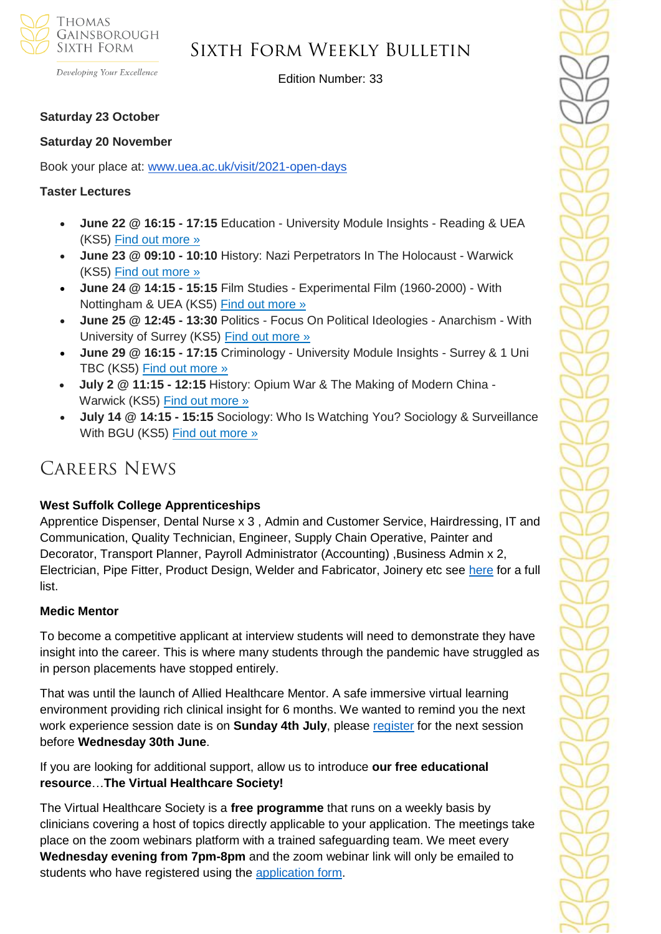

Developing Your Excellence

Edition Number: 33

#### **Saturday 23 October**

#### **Saturday 20 November**

Book your place at: [www.uea.ac.uk/visit/2021-open-days](http://www.uea.ac.uk/visit/2021-open-days)

#### **Taster Lectures**

- **June 22 @ 16:15 - 17:15** Education University Module Insights Reading & UEA (KS5) [Find out more »](https://channeltalent.us10.list-manage.com/track/click?u=145837fa6843e0c349598322a&id=6bd7d9013d&e=155232616c)
- **June 23 @ 09:10 - 10:10** History: Nazi Perpetrators In The Holocaust Warwick (KS5) [Find out more »](https://channeltalent.us10.list-manage.com/track/click?u=145837fa6843e0c349598322a&id=6e75a8c21f&e=155232616c)
- **June 24 @ 14:15 - 15:15** Film Studies Experimental Film (1960-2000) With Nottingham & UEA (KS5) [Find out more »](https://channeltalent.us10.list-manage.com/track/click?u=145837fa6843e0c349598322a&id=353c9e848b&e=155232616c)
- **June 25 @ 12:45 - 13:30** Politics Focus On Political Ideologies Anarchism With University of Surrey (KS5) [Find out more »](https://channeltalent.us10.list-manage.com/track/click?u=145837fa6843e0c349598322a&id=6a110612b3&e=155232616c)
- **June 29 @ 16:15 - 17:15** Criminology University Module Insights Surrey & 1 Uni TBC (KS5) [Find out more »](https://channeltalent.us10.list-manage.com/track/click?u=145837fa6843e0c349598322a&id=1e5ea71d77&e=155232616c)
- **July 2 @ 11:15 - 12:15** History: Opium War & The Making of Modern China Warwick (KS5) [Find out more »](https://channeltalent.us10.list-manage.com/track/click?u=145837fa6843e0c349598322a&id=38e121d48a&e=155232616c)
- **July 14 @ 14:15 - 15:15** Sociology: Who Is Watching You? Sociology & Surveillance With BGU (KS5) [Find out more »](https://channeltalent.us10.list-manage.com/track/click?u=145837fa6843e0c349598322a&id=5549cadd1e&e=155232616c)

## Careers News

#### **West Suffolk College Apprenticeships**

Apprentice Dispenser, Dental Nurse x 3 , Admin and Customer Service, Hairdressing, IT and Communication, Quality Technician, Engineer, Supply Chain Operative, Painter and Decorator, Transport Planner, Payroll Administrator (Accounting) ,Business Admin x 2, Electrician, Pipe Fitter, Product Design, Welder and Fabricator, Joinery etc see [here](https://apprenticeships.wsc.ac.uk/) for a full list.

#### **Medic Mentor**

To become a competitive applicant at interview students will need to demonstrate they have insight into the career. This is where many students through the pandemic have struggled as in person placements have stopped entirely.

That was until the launch of Allied Healthcare Mentor. A safe immersive virtual learning environment providing rich clinical insight for 6 months. We wanted to remind you the next work experience session date is on **Sunday 4th July**, please [register](https://alliedhealthmentor.org/product/live-virtual-work-experience-programme/) for the next session before **Wednesday 30th June**.

If you are looking for additional support, allow us to introduce **our free educational resource**…**The Virtual Healthcare Society!**

The Virtual Healthcare Society is a **free programme** that runs on a weekly basis by clinicians covering a host of topics directly applicable to your application. The meetings take place on the zoom webinars platform with a trained safeguarding team. We meet every **Wednesday evening from 7pm-8pm** and the zoom webinar link will only be emailed to students who have registered using the [application form.](https://alliedhealthmentor.org/virtual-healthcare-society/)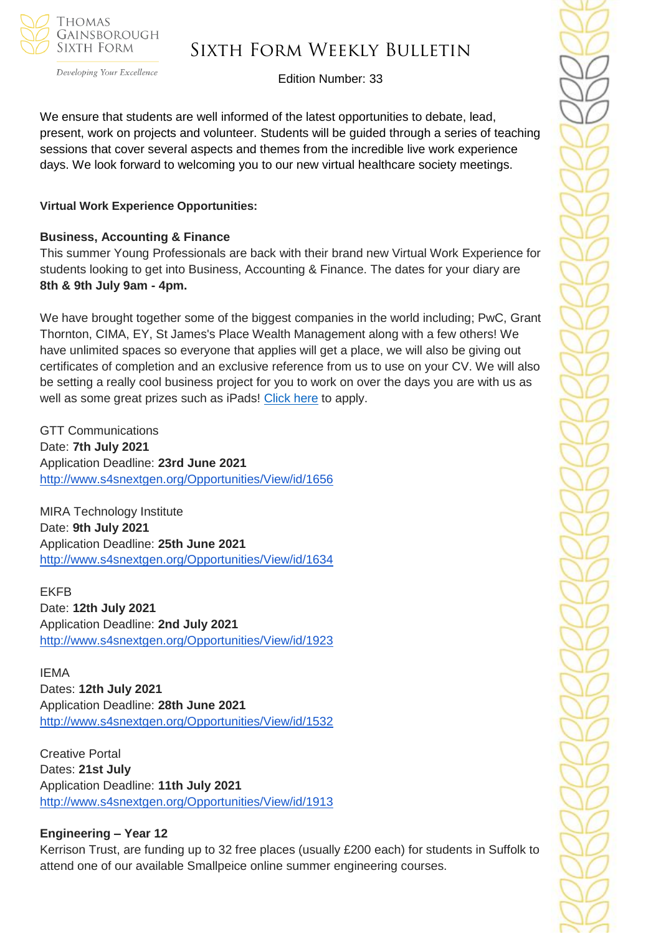

Developing Your Excellence

## Sixth Form Weekly Bulletin

Edition Number: 33

We ensure that students are well informed of the latest opportunities to debate, lead, present, work on projects and volunteer. Students will be guided through a series of teaching sessions that cover several aspects and themes from the incredible live work experience days. We look forward to welcoming you to our new virtual healthcare society meetings.

#### **Virtual Work Experience Opportunities:**

#### **Business, Accounting & Finance**

This summer Young Professionals are back with their brand new Virtual Work Experience for students looking to get into Business, Accounting & Finance. The dates for your diary are **8th & 9th July 9am - 4pm.** 

We have brought together some of the biggest companies in the world including; PwC, Grant Thornton, CIMA, EY, St James's Place Wealth Management along with a few others! We have unlimited spaces so everyone that applies will get a place, we will also be giving out certificates of completion and an exclusive reference from us to use on your CV. We will also be setting a really cool business project for you to work on over the days you are with us as well as some great prizes such as iPads! [Click here](https://www.surveymonkey.com/r/Accounting-Work-Experience) to apply.

GTT Communications Date: **7th July 2021** Application Deadline: **23rd June 2021** <http://www.s4snextgen.org/Opportunities/View/id/1656>

MIRA Technology Institute Date: **9th July 2021** Application Deadline: **25th June 2021** <http://www.s4snextgen.org/Opportunities/View/id/1634>

#### EKFB

Date: **12th July 2021** Application Deadline: **2nd July 2021** <http://www.s4snextgen.org/Opportunities/View/id/1923>

IEMA Dates: **12th July 2021** Application Deadline: **28th June 2021** <http://www.s4snextgen.org/Opportunities/View/id/1532>

Creative Portal Dates: **21st July** Application Deadline: **11th July 2021** <http://www.s4snextgen.org/Opportunities/View/id/1913>

#### **Engineering – Year 12**

Kerrison Trust, are funding up to 32 free places (usually £200 each) for students in Suffolk to attend one of our available Smallpeice online summer engineering courses.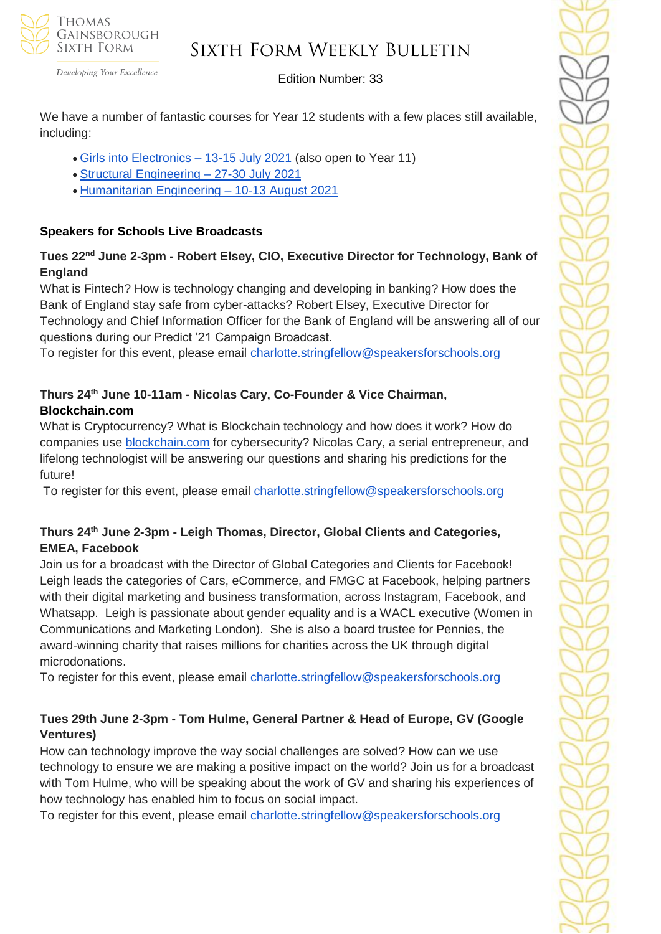

Developing Your Excellence

#### Edition Number: 33

We have a number of fantastic courses for Year 12 students with a few places still available, including:

- [Girls into Electronics –](https://www.smallpeicetrust.org.uk/course-page/d76c938a-9f76-eb11-a812-0022481a98e1) 13-15 July 2021 (also open to Year 11)
- [Structural Engineering –](https://www.smallpeicetrust.org.uk/course-page/d764e7cd-9864-eb11-a812-0022481a5c82) 27-30 July 2021
- [Humanitarian Engineering –](https://www.smallpeicetrust.org.uk/course-page/4ceda453-af76-eb11-a812-0022481a98e1) 10-13 August 2021

### **Speakers for Schools Live Broadcasts**

### **Tues 22nd June 2-3pm - Robert Elsey, CIO, Executive Director for Technology, Bank of England**

What is Fintech? How is technology changing and developing in banking? How does the Bank of England stay safe from cyber-attacks? Robert Elsey, Executive Director for Technology and Chief Information Officer for the Bank of England will be answering all of our questions during our Predict '21 Campaign Broadcast.

To register for this event, please email charlotte.stringfellow@speakersforschools.org

## **Thurs 24th June 10-11am - Nicolas Cary, Co-Founder & Vice Chairman, Blockchain.com**

What is Cryptocurrency? What is Blockchain technology and how does it work? How do companies use [blockchain.com](http://blockchain.com/) for cybersecurity? Nicolas Cary, a serial entrepreneur, and lifelong technologist will be answering our questions and sharing his predictions for the future!

To register for this event, please email charlotte.stringfellow@speakersforschools.org

### **Thurs 24th June 2-3pm - Leigh Thomas, Director, Global Clients and Categories, EMEA, Facebook**

Join us for a broadcast with the Director of Global Categories and Clients for Facebook! Leigh leads the categories of Cars, eCommerce, and FMGC at Facebook, helping partners with their digital marketing and business transformation, across Instagram, Facebook, and Whatsapp. Leigh is passionate about gender equality and is a WACL executive (Women in Communications and Marketing London). She is also a board trustee for Pennies, the award-winning charity that raises millions for charities across the UK through digital microdonations.

To register for this event, please email charlotte.stringfellow@speakersforschools.org

## **Tues 29th June 2-3pm - Tom Hulme, General Partner & Head of Europe, GV (Google Ventures)**

How can technology improve the way social challenges are solved? How can we use technology to ensure we are making a positive impact on the world? Join us for a broadcast with Tom Hulme, who will be speaking about the work of GV and sharing his experiences of how technology has enabled him to focus on social impact.

To register for this event, please email charlotte.stringfellow@speakersforschools.org